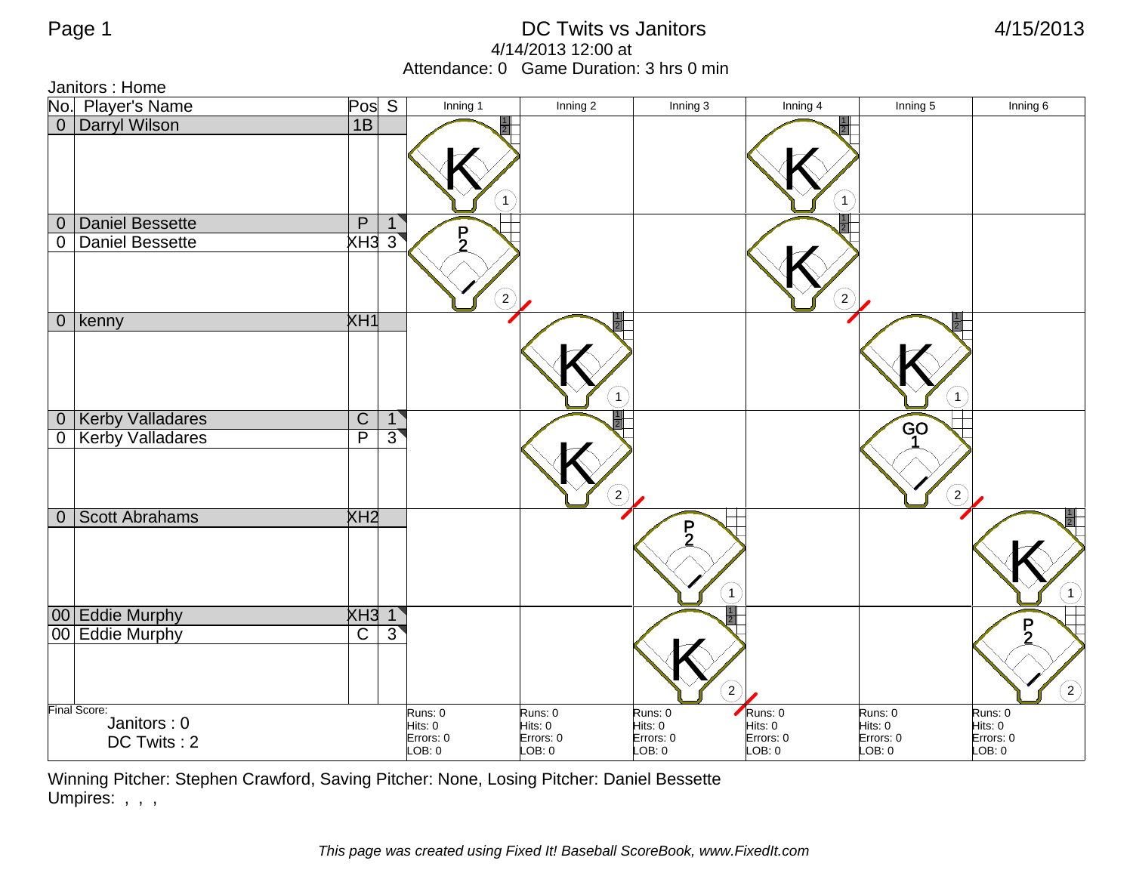Janitors : Home

|                  | No. Player's Name          | Pos <sub>S</sub>        |                | Inning 1             | Inning 2             | Inning 3             | Inning 4             | Inning 5             | Inning 6            |
|------------------|----------------------------|-------------------------|----------------|----------------------|----------------------|----------------------|----------------------|----------------------|---------------------|
|                  | 0 Darryl Wilson            | 1B                      |                |                      |                      |                      |                      |                      |                     |
|                  |                            |                         |                |                      |                      |                      |                      |                      |                     |
|                  |                            |                         |                |                      |                      |                      |                      |                      |                     |
|                  |                            |                         |                |                      |                      |                      |                      |                      |                     |
|                  |                            |                         |                | 1                    |                      |                      |                      |                      |                     |
| $\boldsymbol{0}$ | Daniel Bessette            | $\mathsf{P}$            | 1              | $\overline{P}$       |                      |                      |                      |                      |                     |
| 0                | Daniel Bessette            | XH33                    |                |                      |                      |                      |                      |                      |                     |
|                  |                            |                         |                |                      |                      |                      |                      |                      |                     |
|                  |                            |                         |                | $\boxed{2}$          |                      |                      | $\boxed{2}$          |                      |                     |
|                  | $0$   kenny                | XH1                     |                |                      |                      |                      |                      |                      |                     |
|                  |                            |                         |                |                      |                      |                      |                      |                      |                     |
|                  |                            |                         |                |                      |                      |                      |                      |                      |                     |
|                  |                            |                         |                |                      |                      |                      |                      |                      |                     |
|                  |                            |                         |                |                      |                      |                      |                      | $\mathbf{1}$         |                     |
|                  | 0 Kerby Valladares         | $\overline{C}$          | 1              |                      |                      |                      |                      | GO                   |                     |
|                  | 0   Kerby Valladares       | $\overline{\mathsf{P}}$ | $\overline{3}$ |                      |                      |                      |                      |                      |                     |
|                  |                            |                         |                |                      |                      |                      |                      |                      |                     |
|                  |                            |                         |                |                      |                      |                      |                      |                      |                     |
|                  |                            |                         |                |                      | $\sqrt{2}$           |                      |                      | $\left( 2\right)$    |                     |
| $\overline{0}$   | Scott Abrahams             | XH2                     |                |                      |                      | $\frac{P}{2}$        |                      |                      |                     |
|                  |                            |                         |                |                      |                      |                      |                      |                      |                     |
|                  |                            |                         |                |                      |                      |                      |                      |                      |                     |
|                  |                            |                         |                |                      |                      | $\mathbf{1}$         |                      |                      | $\bigcap$           |
|                  | 00 Eddie Murphy            | $XH3$ 1                 |                |                      |                      |                      |                      |                      |                     |
|                  | 00 Eddie Murphy            | $\overline{\text{c}}$   | $\overline{3}$ |                      |                      |                      |                      |                      | $\frac{P}{2}$       |
|                  |                            |                         |                |                      |                      |                      |                      |                      |                     |
|                  |                            |                         |                |                      |                      |                      |                      |                      |                     |
|                  |                            |                         |                |                      |                      | $\overline{2}$       |                      |                      | $\odot$             |
|                  | Final Score:               |                         |                | Runs: 0              | Runs: 0              | Runs: 0              | Runs: 0              | Runs: 0              | Runs: 0             |
|                  | Janitors: 0<br>DC Twits: 2 |                         |                | Hits: 0<br>Errors: 0 | Hits: 0<br>Errors: 0 | Hits: 0<br>Errors: 0 | Hits: 0<br>Errors: 0 | Hits: 0<br>Errors: 0 | Hits: 0             |
|                  |                            |                         |                | LOB: 0               | LOB: 0               | LOB: 0               | LOB: 0               | LOB: 0               | Errors: 0<br>LOB: 0 |

Winning Pitcher: Stephen Crawford, Saving Pitcher: None, Losing Pitcher: Daniel Bessette Umpires: , , ,